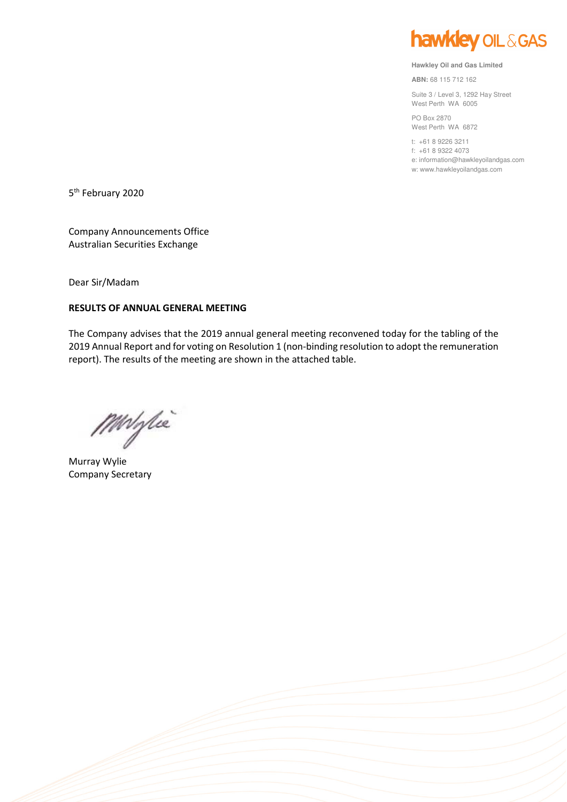

**Hawkley Oil and Gas Limited** 

**ABN:** 68 115 712 162

Suite 3 / Level 3, 1292 Hay Street West Perth WA 6005

PO Box 2870 West Perth WA 6872

t: +61 8 9226 3211 f: +61 8 9322 4073 e: information@hawkleyoilandgas.com w: www.hawkleyoilandgas.com

5<sup>th</sup> February 2020

Company Announcements Office Australian Securities Exchange

Dear Sir/Madam

## **RESULTS OF ANNUAL GENERAL MEETING**

The Company advises that the 2019 annual general meeting reconvened today for the tabling of the 2019 Annual Report and for voting on Resolution 1 (non-binding resolution to adopt the remuneration report). The results of the meeting are shown in the attached table.

MM/lie

Murray Wylie Company Secretary